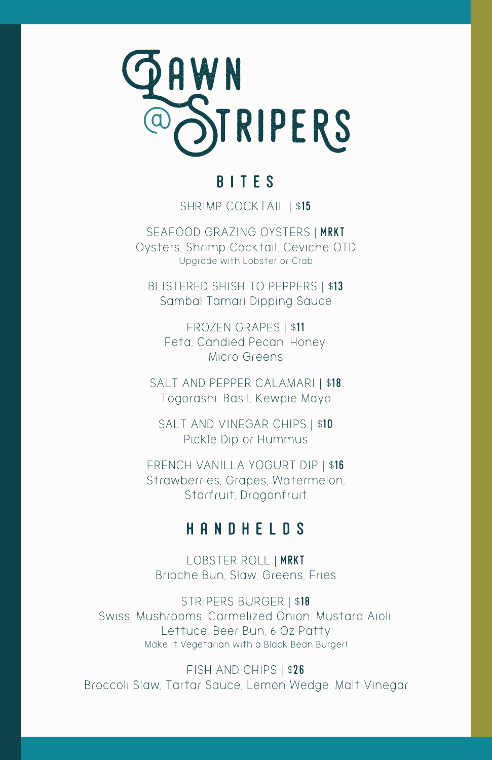SEAFOOD GRAZING OYSTERS | MRKT Oysters, Shrimp Cocktail, Ceviche OTD Upgrade with Lobster or Crab

SALT AND PEPPER CALAMARI | \$18 Togorashi, Basil, Kewpie Mayo

BLISTERED SHISHITO PEPPERS | \$13 Sambal Tamari Dipping Sauce

SALT AND VINEGAR CHIPS | \$10 Pickle Dip or Hummus

FROZEN GRAPES | \$11 Feta, Candied Pecan, Honey, Micro Greens

FRENCH VANILLA YOGURT DIP | \$16 Strawberries, Grapes, Watermelon, Starfruit, Dragonfruit

## handhelds

LOBSTER ROLL | mrkt Brioche Bun, Slaw, Greens, Fries

### STRIPERS BURGER | \$18 Swiss, Mushrooms, Carmelized Onion, Mustard Aioli, Lettuce, Beer Bun, 6 Oz Patty Make it Vegetarian with a Black Bean Burger!

### FISH AND CHIPS | \$26 Broccoli Slaw, Tartar Sauce, Lemon Wedge, Malt Vinegar



# **BITES**

SHRIMP COCKTAIL | \$15